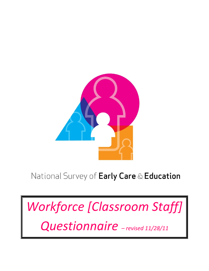

# National Survey of Early Care & Education

*Workforce [Classroom Staff] Questionnaire – revised 11/28/11*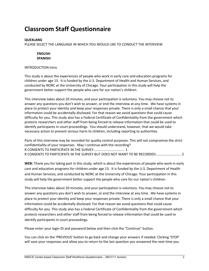# **Classroom Staff Questionnaire**

#### **QUEXLANG**

PLEASE SELECT THE LANGUAGE IN WHICH YOU WOULD LIKE TO CONDUCT THE INTERVIEW

# **ENGLISH SPANISH**

#### INTRODUCTION Intro

This study is about the experiences of people who work in early care and education programs for children under age 13. It is funded by the U.S. Department of Health and Human Services, and conducted by NORC at the University of Chicago. Your participation in this study will help the government better support the people who care for our nation's children.

This interview takes about 20 minutes, and your participation is voluntary. You may choose not to answer any questions you don't wish to answer, or end the interview at any time. We have systems in place to protect your identity and keep your responses private. There is only a small chance that your information could be accidentally disclosed. For that reason we avoid questions that could cause difficulty for you. This study also has a Federal Certificate of Confidentiality from the government which protects researchers and other staff from being forced to release information that could be used to identify participants in court proceedings. You should understand, however, that we would take necessary action to prevent serious harm to children, including reporting to authorities.

Parts of this interview may be recorded for quality control purposes. This will not compromise the strict confidentiality of your responses. May I continue with the recording? R CONSENTS TO PARTICIPATE IN THE SURVEY................................. 1 R CONSENTS TO PARTICIPATE IN THE SURVEY BUT DOES NOT WANT TO BE RECORDED........................... 2

**WEB:** Thank you for taking part in this study, which is about the experiences of people who work in early care and education programs for children under age 13. It is funded by the U.S. Department of Health and Human Services, and conducted by NORC at the University of Chicago. Your participation in this study will help the government better support the people who care for our nation's children.

This interview takes about 20 minutes, and your participation is voluntary. You may choose not to answer any questions you don't wish to answer, or end the interview at any time. We have systems in place to protect your identity and keep your responses private. There is only a small chance that your information could be accidentally disclosed. For that reason we avoid questions that could cause difficulty for you. This study also has a Federal Certificate of Confidentiality from the government which protects researchers and other staff from being forced to release information that could be used to identify participants in court proceedings.

Please enter your login ID and password below and then click the "Continue" button.

You can click on the 'PREVIOUS' button to go back and change your answers if needed. Clicking 'STOP' will save your responses and allow you to return to the last question you answered the next time you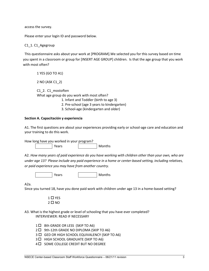access the survey.

Please enter your login ID and password below.

## C1\_1. C1\_Agegroup

This questionnaire asks about your work at [PROGRAM].We selected you for this survey based on time you spent in a classroom or group for [INSERT AGE GROUP] children. Is that the age group that you work with most often?

 1 YES (GO TO A1) 2 NO (ASK C1\_2) C1\_2. C1\_mostoften What age group do you work with most often? 1. Infant and Toddler (birth to age 3)

- 2. Pre-school (age 3 years to kindergarten)
- 3. School-age (kindergarten and older)

## **Section A. Capacitación y experiencia**

A1. The first questions are about your experiences providing early or school-age care and education and your training to do this work.

How long have you worked in your program? Years | Months

A2. *How many years of paid experience do you have working with children other than your own, who are under age 13? Please include any paid experience in a home or center-based setting, including relatives, or paid experience you may have from another country.* 

Years | Months

A2a.

Since you turned 18, have you done paid work with children under age 13 in a home-based setting?

 $1 \Box YES$  $2 \Box$  NO

A3. What is the highest grade or level of schooling that you have ever completed? INTERVIEWER: READ IF NECESSARY

- 1  $\Box$  8th GRADE OR LESS (SKIP TO A6)
- 2  $\Box$  9th-12th GRADE NO DIPLOMA (SKIP TO A6)
- 3  $\Box$  GED OR HIGH SCHOOL EQUIVALENCY (SKIP TO A6)
- 3  $\Box$  HIGH SCHOOL GRADUATE (SKIP TO A6)
- 4  $\Box$  SOME COLLEGE CREDIT BUT NO DEGREE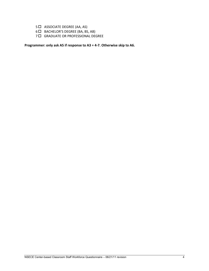- 5  $\Box$  ASSOCIATE DEGREE (AA, AS)
- 6 D BACHELOR'S DEGREE (BA, BS, AB)
- 7 **C** GRADUATE OR PROFESSIONAL DEGREE

**Programmer: only ask A5 if response to A3 = 4-7. Otherwise skip to A6.**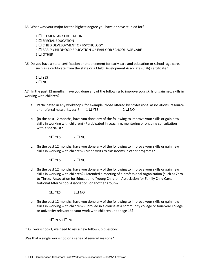A5. What was your major for the highest degree you have or have studied for?

1 **C** ELEMENTARY EDUCATION  $2 \square$  SPECIAL EDUCATION 3 **CHILD DEVELOPMENT OR PSYCHOLOGY** 4 EARLY CHILDHOOD EDUCATION OR EARLY OR SCHOOL-AGE CARE  $5 \Box$  OTHER

A6. Do you have a state certification or endorsement for early care and education or school -age care, such as a certificate from the state or a Child Development Associate (CDA) certificate?

 $1$   $\Box$  YES  $2 \Box$  NO

A7. In the past 12 months, have you done any of the following to improve your skills or gain new skills in working with children?

- a. Participated in any workshops, for example, those offered by professional associations, resource and referral networks, etc.?  $1 \square$  YES  $2 \square$  NO
- b. (In the past 12 months, have you done any of the following to improve your skills or gain new skills in working with children?) Participated in coaching, mentoring or ongoing consultation with a specialist?

 $1 \square$  YES  $2 \square$  NO

c. (In the past 12 months, have you done any of the following to improve your skills or gain new skills in working with children?) Made visits to classrooms in other programs?

 $1 \square$  YFS  $2 \square$  NO

d. (In the past 12 months, have you done any of the following to improve your skills or gain new skills in working with children?) Attended a meeting of a professional organization (such as Zeroto-Three, Association for Education of Young Children; Association for Family Child Care, National After School Association, or another group)?

 $1 \square$  YES  $2 \square$  NO

e. (In the past 12 months, have you done any of the following to improve your skills or gain new skills in working with children?) Enrolled in a course at a community college or four-year college or university relevant to your work with children under age 13?

 $1\square$  YES  $2\square$  NO

If A7\_workshop=1, we need to ask a new follow-up question:

Was that a single workshop or a series of several sessions?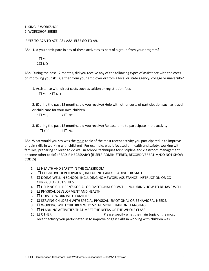1. SINGLE WORKSHOP 2. WORKSHOP SERIES

IF YES TO A7A TO A7E, ASK A8A. ELSE GO TO A9.

A8a. Did you participate in any of these activities as part of a group from your program?

 $1\square$  YFS  $2\square$  NO

A8b: During the past 12 months, did you receive any of the following types of assistance with the costs of improving your skills, either from your employer or from a local or state agency, college or university?

1. Assistance with direct costs such as tuition or registration fees  $1\square$  YES  $2\square$  NO

2. (During the past 12 months, did you receive) Help with other costs of participation such as travel or child care for your own children

 $1 \square$  YES  $2 \square$  NO

3. (During the past 12 months, did you receive) Release time to participate in the activity  $1 \square$  YES  $2 \square$  NO

A8c. What would you say was the main topic of the most recent activity you participated in to improve or gain skills in working with children? For example, was it focused on health and safety, working with families, preparing children to do well in school, techniques for discipline and classroom management, or some other topic? (READ IF NECESSARY) [IF SELF-ADMINISTERED, RECORD VERBATIM/DO NOT SHOW CODES]

- 1.  $\Box$  HEALTH AND SAFETY IN THE CLASSROOM
- 2.  $\Box$  COGNITIVE DEVELOPMENT, INCLUDING EARLY READING OR MATH
- 3. DOING WELL IN SCHOOL, INCLUDING HOMEWORK ASSISTANCE, INSTRUCTION OR CO-CURRICULAR ACTIVITIES.
- 4. **C HELPING CHILDREN'S SOCIAL OR EMOTIONAL GROWTH, INCLUDING HOW TO BEHAVE WELL.**
- 5. **C PHYSICAL DEVELOPMENT AND HEALTH**
- $6.$   $\Box$  HOW TO WORK WITH FAMILIES
- 7.  $\square$  SERVING CHILDREN WITH SPECIAL PHYSICAL, EMOTIONAL OR BEHAVIORAL NEEDS.
- 8. U WORKING WITH CHILDREN WHO SPEAK MORE THAN ONE LANGUAGE
- 9. PLANNING ACTIVITIES THAT MEET THE NEEDS OF THE WHOLE CLASS
- 10.  $\Box$  OTHER **DETER** Please specify what the main topic of the most recent activity you participated in to improve or gain skills in working with children was.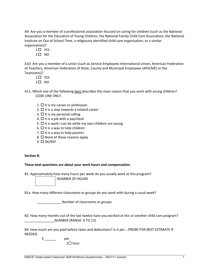A9. Are you a member of a professional association focused on caring for children (such as the National Association for the Education of Young Children, the National Family Child Care Association, the National Institute on Out of School Time, a religiously identified child care organization, or a similar organization)?

 $1 \square$  YES

 $2 \square$  NO

A10. Are you a member of a union (such as Service Employees International Union, American Federation of Teachers, American Federation of State, County and Municipal Employees (AFSCME) or the Teamsters)?

- $1 \square$  YES
- $2\square$  NO
- A11. Which one of the following **best** describes the main reason that you work with young children? CODE ONE ONLY.
	- 1.  $\Box$  It is my career or profession
	- 2.  $\Box$  It is a step towards a related career
	- $3. \Box$  It is my personal calling
	- 4.  $\Box$  It is a job with a paycheck
	- 5.  $\Box$  It is work I can do while my own children are young
	- 6.  $\Box$  It is a way to help children
	- 7.  $\Box$  It is a way to help parents
	- 8.  $\Box$  None of these reasons apply
	- $9. \Box DK/REF$

# **Section B.**

# **These next questions are about your work hours and compensation.**

B1. Approximately how many hours per week do you usually work at this program?

NUMBER OF HOURS

B1a. How many different classrooms or groups do you work with during a usual week?

\_\_\_\_\_\_\_\_\_\_\_\_\_ Number of classrooms or groups

B2. How many months out of the last twelve have you worked at this or another child care program? \_\_\_\_\_\_\_\_\_\_\_\_\_\_\_\_NUMBER (RANGE: 0 TO 12)

B4. How much are you paid before taxes and deductions? Is it per….PROBE FOR BEST ESTIMATE IF NEEDED.

> $\zeta$  per  $1 \square$  hour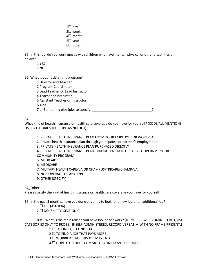| $2\square$ day   |  |
|------------------|--|
| $3\square$ week  |  |
| 4□ month         |  |
| $5\square$ year  |  |
| $6\square$ other |  |

B5. In this job, do you work mostly with children who have mental, physical or other disabilities or delays?

 1 YES 2 NO

B6. What is your title at this program?

 1 Director and Teacher 2 Program Coordinator 3 Lead Teacher or Lead Instructor 4 Teacher or Instructor 5 Assistant Teacher or Instructor 6 Aide, 7 or Something else (please specify:  $\qquad \qquad$ 

B7.

What kind of health insurance or health care coverage do you have for yourself? (CODE ALL MENTIONS, USE CATEGORIES TO PROBE AS NEEDED).

1. PRIVATE HEALTH INSURANCE PLAN FROM YOUR EMPLOYER OR WORKPLACE

2. Private health insurance plan through your spouse or partner's employment

3. PRIVATE HEALTH INSURANCE PLAN PURCHASED DIRECTLY

4. PRIVATE HEALTH INSURANCE PLAN THROUGH A STATE OR LOCAL GOVERNMENT OR COMMUNITY PROGRAM

- 5. MEDICAID
- 6. MEDICARE
- 7. MILITARY HEALTH CARE/VA OR CHAMPUS/TRICARE/CHAMP-VA
- 8. NO COVERAGE OF ANY TYPE
- 9. OTHER (SPECIFY)

B7\_Other

Please specify the kind of health insurance or health care coverage you have for yourself.

B9. In the past 3 months, have you done anything to look for a new job or an additional job?

 $1 \square$  YES (ASK B9A)

 $2 \square$  NO (SKIP TO SECTION C)

 B9a. What is the main reason you have looked for work? [IF INTERVIEWER ADMINISTERED, USE CATEGORIES ONLY TO PROBE. IF SELF-ADMINISTERED, RECORD VERBATIM WITH NO FRAME PRESENT.]

 $1 \square$  TO FIND A SECOND JOB

 $2 \square$  TO FIND A JOB THAT PAYS MORE

 $3 \square$  WORRIED THAT THIS JOB MAY END

 $4 \Box$  HOPE TO REDUCE COMMUTE OR IMPROVE SCHEDULE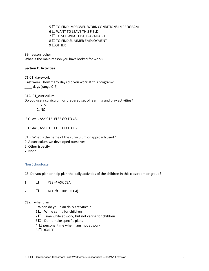$5$   $\Box$  to find improved work conditions in Program

 $6$   $\Box$  WANT TO LEAVE THIS FIELD

 $7 \square$  TO SEE WHAT ELSE IS AVAILABLE

 $8 \square$  TO FIND SUMMER EMPLOYMENT

9 OTHER \_\_\_\_\_\_\_\_\_\_\_\_\_\_\_\_\_\_\_\_\_\_\_\_\_

B9\_reason\_other What is the main reason you have looked for work?

#### **Section C. Activities**

C1.C1\_dayswork Last week, how many days did you work at this program? \_\_\_\_ days (range 0-7)

C1A. C1\_curriculum

Do you use a curriculum or prepared set of learning and play activities?

- 1. YES
- 2. NO

IF C1A=1, ASK C1B. ELSE GO TO C3.

IF C1A=1, ASK C1B. ELSE GO TO C3.

C1B. What is the name of the curriculum or approach used?

0. A curriculum we developed ourselves

6. Other (specify\_\_\_\_\_\_\_\_\_\_)

7. None

#### Non School-age

C3. Do you plan or help plan the daily activities of the children in this classroom or group?

- $1 \Box$  YES  $\rightarrow$  ASK C3A
- 2  $\Box$  NO  $\rightarrow$  (SKIP TO C4)

#### **C3a.** \_whenplan

When do you plan daily activities ?

- $1 \Box$  While caring for children
- $2 \square$  Time while at work, but not caring for children
- $3 \Box$  Don't make specific plans
- $4 \Box$  personal time when I am not at work
- $5$   $\square$  DK/REF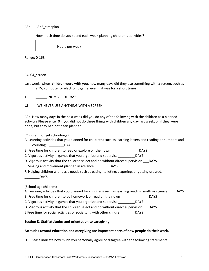#### C3b. C3b3\_timeplan

How much time do you spend each week planning children's activities?



Hours per week

Range: 0-168

#### C4. C4\_screen

Last week, **when children were with you**, how many days did they use something with a screen, such as a TV, computer or electronic game, even if it was for a short time?

1 NUMBER OF DAYS

**D** WE NEVER USE ANYTHING WITH A SCREEN

C2a. How many days in the past week did you do any of the following with the children as a planned activity? Please enter 0 if you did not do these things with children any day last week, or if they were done, but they had not been planned.

(Children not yet school-age)

- A. Learning activities that you planned for child(ren) such as learning letters and reading or numbers and counting: \_\_\_\_\_\_\_\_DAYS
- B. Free time for children to read or explore on their own \_\_\_\_\_\_\_\_\_\_\_\_\_\_\_\_\_\_\_\_DAYS
- C. Vigorous activity in games that you organize and supervise DAYS
- D. Vigorous activity that the children select and do without direct supervision DAYS
- E. Singing and movement planned in advance DAYS
- F. Helping children with basic needs such as eating, toileting/diapering, or getting dressed.
	- \_\_\_\_\_\_\_\_DAYS

(School-age children)

A. Learning activities that you planned for child(ren) such as learning reading, math or science DAYS

B. Free time for children to do homework or read on their own \_\_\_\_\_\_\_\_\_\_\_\_\_\_\_\_\_\_ DAYS

C. Vigorous activity in games that you organize and supervise DAYS

D. Vigorous activity that the children select and do without direct supervision DAYS

E Free time for social activities or socializing with other children DAYS

#### **Section D. Staff attitudes and orientation to caregiving:**

#### **Attitudes toward education and caregiving are important parts of how people do their work.**

D1. Please indicate how much you personally agree or disagree with the following statements.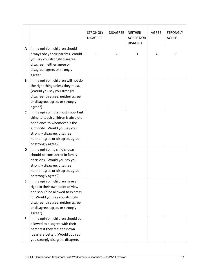|   |                                     | <b>STRONGLY</b> | <b>DISAGREE</b> | <b>NEITHER</b>   | AGREE | <b>STRONGLY</b> |
|---|-------------------------------------|-----------------|-----------------|------------------|-------|-----------------|
|   |                                     | <b>DISAGREE</b> |                 | <b>AGREE NOR</b> |       | AGREE           |
|   |                                     |                 |                 | <b>DISAGREE</b>  |       |                 |
| A | In my opinion, children should      |                 |                 |                  |       |                 |
|   | always obey their parents. Would    | $\mathbf{1}$    | $\overline{2}$  | 3                | 4     | 5               |
|   | you say you strongly disagree,      |                 |                 |                  |       |                 |
|   | disagree, neither agree or          |                 |                 |                  |       |                 |
|   | disagree, agree, or strongly        |                 |                 |                  |       |                 |
|   | agree?                              |                 |                 |                  |       |                 |
| B | In my opinion, children will not do |                 |                 |                  |       |                 |
|   | the right thing unless they must.   |                 |                 |                  |       |                 |
|   | (Would you say you strongly         |                 |                 |                  |       |                 |
|   | disagree, disagree, neither agree   |                 |                 |                  |       |                 |
|   | or disagree, agree, or strongly     |                 |                 |                  |       |                 |
|   | agree?)                             |                 |                 |                  |       |                 |
| C | In my opinion, the most important   |                 |                 |                  |       |                 |
|   | thing to teach children is absolute |                 |                 |                  |       |                 |
|   | obedience to whomever is the        |                 |                 |                  |       |                 |
|   | authority. (Would you say you       |                 |                 |                  |       |                 |
|   | strongly disagree, disagree,        |                 |                 |                  |       |                 |
|   | neither agree or disagree, agree,   |                 |                 |                  |       |                 |
|   | or strongly agree?)                 |                 |                 |                  |       |                 |
| D | In my opinion, a child's ideas      |                 |                 |                  |       |                 |
|   | should be considered in family      |                 |                 |                  |       |                 |
|   | decisions. (Would you say you       |                 |                 |                  |       |                 |
|   | strongly disagree, disagree,        |                 |                 |                  |       |                 |
|   | neither agree or disagree, agree,   |                 |                 |                  |       |                 |
|   | or strongly agree?)                 |                 |                 |                  |       |                 |
| E | In my opinion, children have a      |                 |                 |                  |       |                 |
|   | right to their own point of view    |                 |                 |                  |       |                 |
|   | and should be allowed to express    |                 |                 |                  |       |                 |
|   | it. (Would you say you strongly     |                 |                 |                  |       |                 |
|   | disagree, disagree, neither agree   |                 |                 |                  |       |                 |
|   | or disagree, agree, or strongly     |                 |                 |                  |       |                 |
|   | agree?)                             |                 |                 |                  |       |                 |
| F | In my opinion, children should be   |                 |                 |                  |       |                 |
|   | allowed to disagree with their      |                 |                 |                  |       |                 |
|   | parents if they feel their own      |                 |                 |                  |       |                 |
|   | ideas are better. (Would you say    |                 |                 |                  |       |                 |
|   | you strongly disagree, disagree,    |                 |                 |                  |       |                 |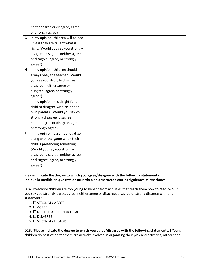|   | neither agree or disagree, agree,   |  |  |  |
|---|-------------------------------------|--|--|--|
|   | or strongly agree?)                 |  |  |  |
| G | In my opinion, children will be bad |  |  |  |
|   | unless they are taught what is      |  |  |  |
|   | right. (Would you say you strongly  |  |  |  |
|   | disagree, disagree, neither agree   |  |  |  |
|   | or disagree, agree, or strongly     |  |  |  |
|   | agree?)                             |  |  |  |
| н | In my opinion, children should      |  |  |  |
|   | always obey the teacher. (Would     |  |  |  |
|   | you say you strongly disagree,      |  |  |  |
|   | disagree, neither agree or          |  |  |  |
|   | disagree, agree, or strongly        |  |  |  |
|   | agree?)                             |  |  |  |
| п | In my opinion, it is alright for a  |  |  |  |
|   | child to disagree with his or her   |  |  |  |
|   | own parents. (Would you say you     |  |  |  |
|   | strongly disagree, disagree,        |  |  |  |
|   | neither agree or disagree, agree,   |  |  |  |
|   | or strongly agree?)                 |  |  |  |
| J | In my opinion, parents should go    |  |  |  |
|   | along with the game when their      |  |  |  |
|   | child is pretending something.      |  |  |  |
|   | (Would you say you strongly         |  |  |  |
|   | disagree, disagree, neither agree   |  |  |  |
|   | or disagree, agree, or strongly     |  |  |  |
|   | agree?)                             |  |  |  |

# **Please indicate the degree to which you agree/disagree with the following statements. Indique la medida en que está de acuerdo o en desacuerdo con las siguientes afirmaciones.**

D2A. Preschool children are too young to benefit from activities that teach them how to read. Would you say you strongly agree, agree, neither agree or disagree, disagree or strong disagree with this statement?

- $1. \Box$  STRONGLY AGREE
- $2. \Box$  AGREE
- $3. \Box$  NEITHER AGREE NOR DISAGREE
- 4. □ DISAGREE
- $5. \Box$  STRONGLY DISAGREE

D2B. (**Please indicate the degree to which you agree/disagree with the following statements. )** Young children do best when teachers are actively involved in organizing their play and activities, rather than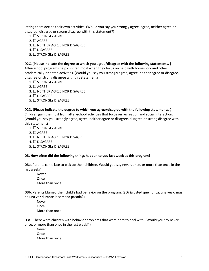letting them decide their own activities. (Would you say you strongly agree, agree, neither agree or disagree, disagree or strong disagree with this statement?)

- $1. \Box$  STRONGLY AGREE
- $2. \Box$  AGREE
- $3. \Box$  NEITHER AGREE NOR DISAGREE
- $4. \Box$  DISAGREE
- $5. \Box$  STRONGLY DISAGREE

#### D2C. (**Please indicate the degree to which you agree/disagree with the following statements. )**

After-school programs help children most when they focus on help with homework and other academically-oriented activities. (Would you say you strongly agree, agree, neither agree or disagree, disagree or strong disagree with this statement?)

- $1. \Box$  STRONGLY AGREE
- $2. \Box$  AGREE
- $3. \Box$  NEITHER AGREE NOR DISAGREE
- $4. \Box$  DISAGREE
- $5. \Box$  STRONGLY DISAGREE

#### D2D. (**Please indicate the degree to which you agree/disagree with the following statements. )**

Children gain the most from after-school activities that focus on recreation and social interaction. (Would you say you strongly agree, agree, neither agree or disagree, disagree or strong disagree with this statement?)

- $1. \Box$  STRONGLY AGREE
- $2. \Box$  AGREE
- $3. \Box$  NEITHER AGREE NOR DISAGREE
- $4. \Box$  DISAGREE
- $5. \Box$  STRONGLY DISAGREE

#### **D3. How often did the following things happen to you last week at this program?**

**D3a.** Parents came late to pick up their children. Would you say never, once, or more than once in the last week?

Never **Once** More than once

**D3b.** Parents blamed their child's bad behavior on the program. (¿Diría usted que nunca, una vez o más de una vez durante la semana pasada?)

Never Once More than once

**D3c.** There were children with behavior problems that were hard to deal with. (Would you say never, once, or more than once in the last week? )

Never **Once** More than once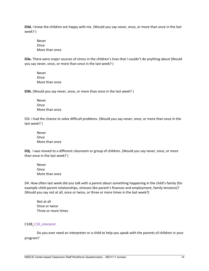**D3d.** I knew the children are happy with me. (Would you say never, once, or more than once in the last week? )

Never Once More than once

**D3e.** There were major sources of stress in the children's lives that I couldn't do anything about (Would you say never, once, or more than once in the last week? )

Never **Once** More than once

**D3h.** (Would you say never, once, or more than once in the last week? )

Never Once More than once

D3i. I had the chance to solve difficult problems. (Would you say never, once, or more than once in the last week? )

Never **Once** More than once

**D3j.** I was moved to a different classroom or group of children. (Would you say never, once, or more than once in the last week? )

Never **Once** More than once

D4. How often last week did you talk with a parent about something happening in the child's family (for example child-parent relationships, stresses like parent's finances and employment; family tensions)? (Would you say not at all, once or twice, or three or more times in the last week?)

Not at all Once or twice Three or more times

#### C10B\_C10\_interpret

Do you ever need an interpreter or a child to help you speak with the parents of children in your program?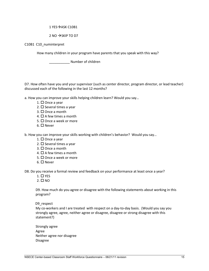#### $1$  YES $\rightarrow$ ASK C10B1

#### $2$  NO  $\rightarrow$  SKIP TO D7

C10B1 C10\_numinterpret

How many children in your program have parents that you speak with this way?

\_\_\_\_\_\_\_\_\_\_\_ Number of children

D7. How often have you and your supervisor (such as center director, program director, or lead teacher) discussed each of the following in the last 12 months?

a. How you can improve your skills helping children learn? Would you say…

- 1.  $\square$  Once a year
- 2.  $\square$  Several times a year
- $3. \Box$  Once a month
- 4.  $\Box$  A few times a month
- $5. \Box$  Once a week or more
- 6.  $\Box$  Never

b. How you can improve your skills working with children's behavior? Would you say…

- 1.  $\square$  Once a year
- 2.  $\square$  Several times a year
- $3. \Box$  Once a month
- 4.  $\Box$  A few times a month
- $5. \Box$  Once a week or more
- $6. \Box$  Never

D8. Do you receive a formal review and feedback on your performance at least once a year?

- $1. \Box$  YES
- $2. \square$  NO

D9. How much do you agree or disagree with the following statements about working in this program?

D9 respect

My co-workers and I are treated with respect on a day-to-day basis. (Would you say you strongly agree, agree, neither agree or disagree, disagree or strong disagree with this statement?)

Strongly agree Agree Neither agree nor disagree Disagree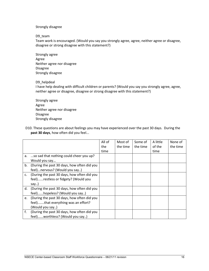Strongly disagree

D9\_team

Team work is encouraged. (Would you say you strongly agree, agree, neither agree or disagree, disagree or strong disagree with this statement?)

Strongly agree Agree Neither agree nor disagree Disagree Strongly disagree

#### D9\_helpdeal

I have help dealing with difficult children or parents? (Would you say you strongly agree, agree, neither agree or disagree, disagree or strong disagree with this statement?)

Strongly agree Agree Neither agree nor disagree Disagree Strongly disagree

D10. These questions are about feelings you may have experienced over the past 30 days. During the **past 30 days**, how often did you feel...

|    |                                             | All of | Most of  | Some of  | A little | None of  |
|----|---------------------------------------------|--------|----------|----------|----------|----------|
|    |                                             | the    | the time | the time | of the   | the time |
|    |                                             | time   |          |          | time     |          |
|    | a. so sad that nothing could cheer you up?  |        |          |          |          |          |
|    | Would you say                               |        |          |          |          |          |
| b. | (During the past 30 days, how often did you |        |          |          |          |          |
|    | feel)nervous? (Would you say)               |        |          |          |          |          |
| c. | (During the past 30 days, how often did you |        |          |          |          |          |
|    | feel)restless or fidgety? (Would you        |        |          |          |          |          |
|    | say)                                        |        |          |          |          |          |
| d. | (During the past 30 days, how often did you |        |          |          |          |          |
|    | feel)hopeless? (Would you say)              |        |          |          |          |          |
| e. | (During the past 30 days, how often did you |        |          |          |          |          |
|    | feel)that everything was an effort?         |        |          |          |          |          |
|    | (Would you say)                             |        |          |          |          |          |
| f. | (During the past 30 days, how often did you |        |          |          |          |          |
|    | feel)worthless? (Would you say)             |        |          |          |          |          |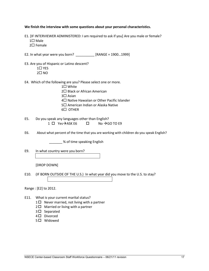**We finish the interview with some questions about your personal characteristics.** 

- E1. [IF INTERVIEWER ADMINISTERED: I am required to ask if you] Are you male or female?  $1 \square$  Male
	- $2\square$  Female

E2. In what year were you born?  $\frac{1}{2}$  [RANGE = 1900...1999]

- E3. Are you of Hispanic or Latino descent?
	- $1\square$  YES
	- $2\square$  NO
- E4. Which of the following are you? Please select one or more.
	- $1\square$  White 2□ Black or African American 3□ Asian 4<sup> $\Box$ </sup> Native Hawaiian or Other Pacific Islander 5□ American Indian or Alaska Native 6□ OTHER
- E5. Do you speak any languages other than English? 1 □ Yes->ASK E6 □ No ->GO TO E9
- E6. About what percent of the time that you are working with children do you speak English?

\_\_\_\_\_\_\_ % of time speaking English

E9. In what country were you born?

[DROP DOWN]

E10. (IF BORN OUTSIDE OF THE U.S.) In what year did you move to the U.S. to stay?

Range : [E2] to 2012.

- E11. What is your current marital status?
	- $1 \Box$  Never married, not living with a partner
	- $2 \Box$  Married or living with a partner
	- $3 \Box$  Separated
	- 4□ Divorced
	- 5  $\Box$  Widowed